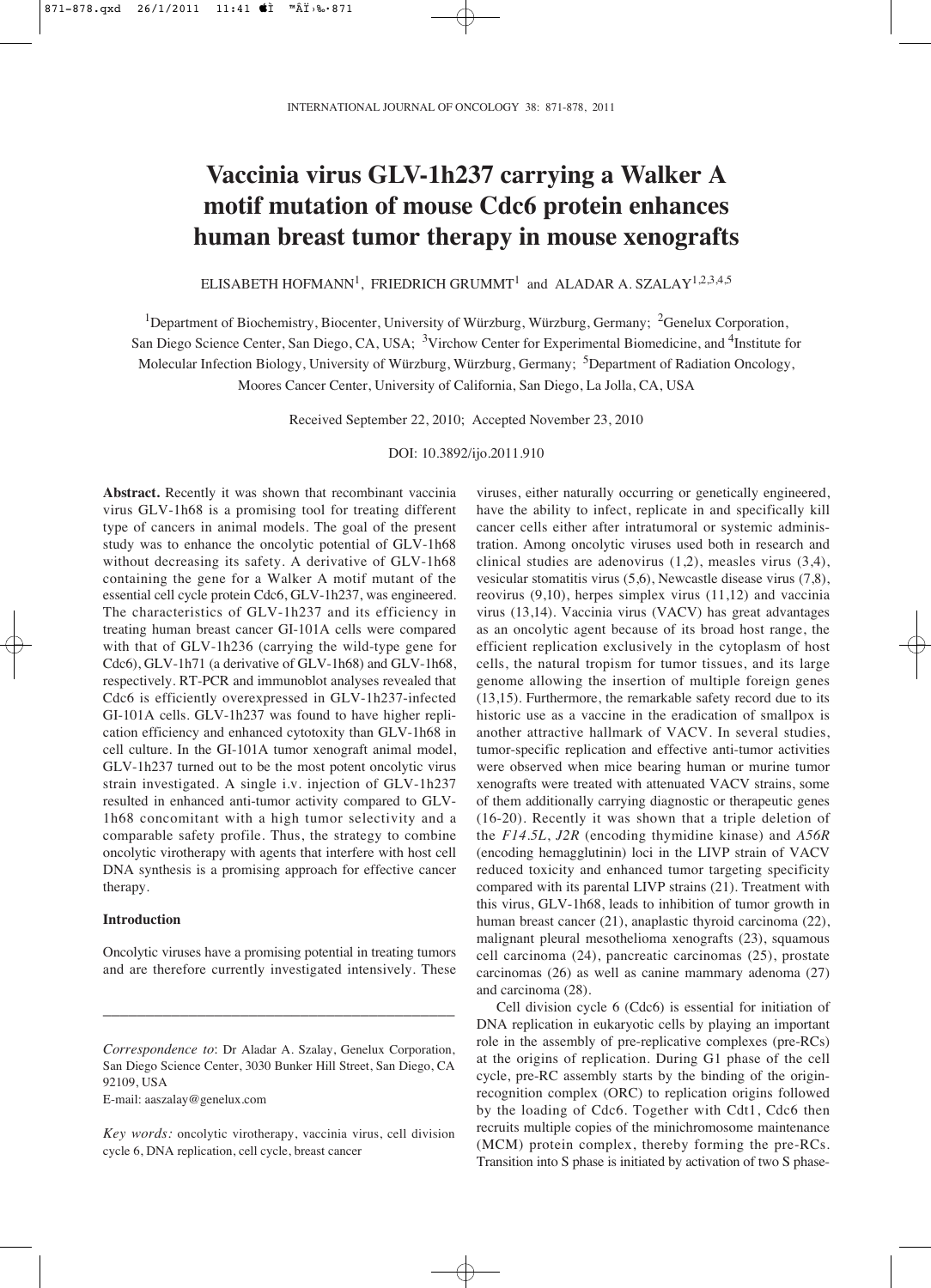# **Vaccinia virus GLV-1h237 carrying a Walker A motif mutation of mouse Cdc6 protein enhances human breast tumor therapy in mouse xenografts**

 $\rm ELISABETH~HOFMANN^1,~FRIEDRICH~GRUMMT^1~$  and  $\rm ALADAR~A.~SZALAY^{1,2,3,4,5}$ 

<sup>1</sup>Department of Biochemistry, Biocenter, University of Würzburg, Würzburg, Germany; <sup>2</sup>Genelux Corporation,

San Diego Science Center, San Diego, CA, USA; <sup>3</sup>Virchow Center for Experimental Biomedicine, and <sup>4</sup>Institute for Molecular Infection Biology, University of Würzburg, Würzburg, Germany; <sup>5</sup>Department of Radiation Oncology,

Moores Cancer Center, University of California, San Diego, La Jolla, CA, USA

Received September 22, 2010; Accepted November 23, 2010

DOI: 10.3892/ijo.2011.910

**Abstract.** Recently it was shown that recombinant vaccinia virus GLV-1h68 is a promising tool for treating different type of cancers in animal models. The goal of the present study was to enhance the oncolytic potential of GLV-1h68 without decreasing its safety. A derivative of GLV-1h68 containing the gene for a Walker A motif mutant of the essential cell cycle protein Cdc6, GLV-1h237, was engineered. The characteristics of GLV-1h237 and its efficiency in treating human breast cancer GI-101A cells were compared with that of GLV-1h236 (carrying the wild-type gene for Cdc6), GLV-1h71 (a derivative of GLV-1h68) and GLV-1h68, respectively. RT-PCR and immunoblot analyses revealed that Cdc6 is efficiently overexpressed in GLV-1h237-infected GI-101A cells. GLV-1h237 was found to have higher replication efficiency and enhanced cytotoxity than GLV-1h68 in cell culture. In the GI-101A tumor xenograft animal model, GLV-1h237 turned out to be the most potent oncolytic virus strain investigated. A single i.v. injection of GLV-1h237 resulted in enhanced anti-tumor activity compared to GLV-1h68 concomitant with a high tumor selectivity and a comparable safety profile. Thus, the strategy to combine oncolytic virotherapy with agents that interfere with host cell DNA synthesis is a promising approach for effective cancer therapy.

# **Introduction**

Oncolytic viruses have a promising potential in treating tumors and are therefore currently investigated intensively. These

\_\_\_\_\_\_\_\_\_\_\_\_\_\_\_\_\_\_\_\_\_\_\_\_\_\_\_\_\_\_\_\_\_\_\_\_\_\_\_\_\_

E-mail: aaszalay@genelux.com

viruses, either naturally occurring or genetically engineered, have the ability to infect, replicate in and specifically kill cancer cells either after intratumoral or systemic administration. Among oncolytic viruses used both in research and clinical studies are adenovirus (1,2), measles virus (3,4), vesicular stomatitis virus (5,6), Newcastle disease virus (7,8), reovirus (9,10), herpes simplex virus (11,12) and vaccinia virus (13,14). Vaccinia virus (VACV) has great advantages as an oncolytic agent because of its broad host range, the efficient replication exclusively in the cytoplasm of host cells, the natural tropism for tumor tissues, and its large genome allowing the insertion of multiple foreign genes (13,15). Furthermore, the remarkable safety record due to its historic use as a vaccine in the eradication of smallpox is another attractive hallmark of VACV. In several studies, tumor-specific replication and effective anti-tumor activities were observed when mice bearing human or murine tumor xenografts were treated with attenuated VACV strains, some of them additionally carrying diagnostic or therapeutic genes (16-20). Recently it was shown that a triple deletion of the *F14.5L*, *J2R* (encoding thymidine kinase) and *A56R* (encoding hemagglutinin) loci in the LIVP strain of VACV reduced toxicity and enhanced tumor targeting specificity compared with its parental LIVP strains (21). Treatment with this virus, GLV-1h68, leads to inhibition of tumor growth in human breast cancer (21), anaplastic thyroid carcinoma (22), malignant pleural mesothelioma xenografts (23), squamous cell carcinoma (24), pancreatic carcinomas (25), prostate carcinomas (26) as well as canine mammary adenoma (27) and carcinoma (28).

Cell division cycle 6 (Cdc6) is essential for initiation of DNA replication in eukaryotic cells by playing an important role in the assembly of pre-replicative complexes (pre-RCs) at the origins of replication. During G1 phase of the cell cycle, pre-RC assembly starts by the binding of the originrecognition complex (ORC) to replication origins followed by the loading of Cdc6. Together with Cdt1, Cdc6 then recruits multiple copies of the minichromosome maintenance (MCM) protein complex, thereby forming the pre-RCs. Transition into S phase is initiated by activation of two S phase-

*Correspondence to*: Dr Aladar A. Szalay, Genelux Corporation, San Diego Science Center, 3030 Bunker Hill Street, San Diego, CA 92109, USA

*Key words:* oncolytic virotherapy, vaccinia virus, cell division cycle 6, DNA replication, cell cycle, breast cancer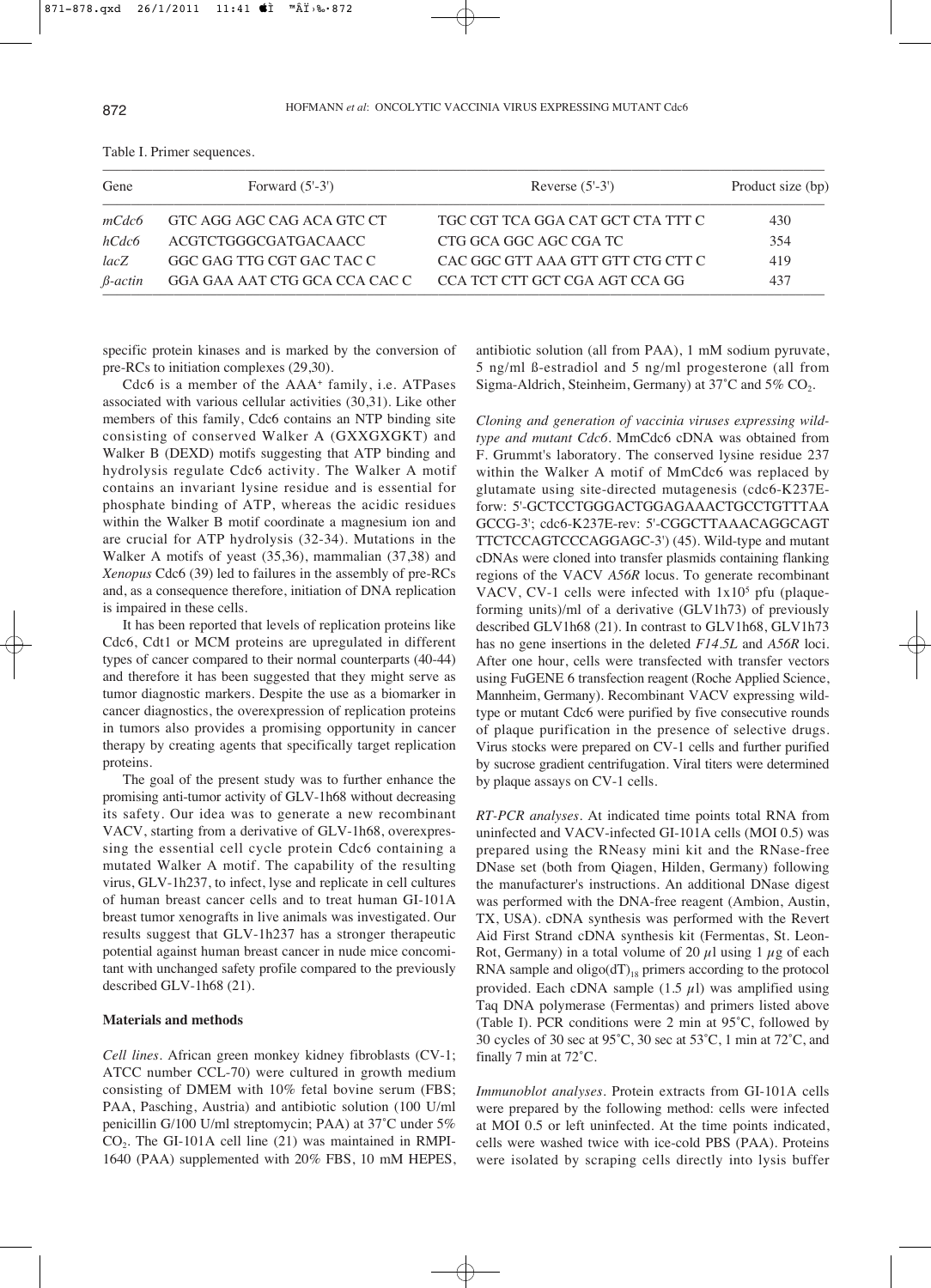| Gene      | Forward $(5'-3')$             | Reverse $(5'-3')$                 | Product size (bp) |
|-----------|-------------------------------|-----------------------------------|-------------------|
| mCdc6     | GTC AGG AGC CAG ACA GTC CT    | TGC CGT TCA GGA CAT GCT CTA TTT C | 430               |
| hCdc6     | ACGTCTGGGCGATGACAACC          | CTG GCA GGC AGC CGA TC            | 354               |
| lacZ      | GGC GAG TTG CGT GAC TAC C     | CAC GGC GTT AAA GTT GTT CTG CTT C | 419               |
| $β-actin$ | GGA GAA AAT CTG GCA CCA CAC C | CCA TCT CTT GCT CGA AGT CCA GG    | 437               |

Table I. Primer sequences.

specific protein kinases and is marked by the conversion of pre-RCs to initiation complexes (29,30).

Cdc6 is a member of the AAA+ family, i.e. ATPases associated with various cellular activities (30,31). Like other members of this family, Cdc6 contains an NTP binding site consisting of conserved Walker A (GXXGXGKT) and Walker B (DEXD) motifs suggesting that ATP binding and hydrolysis regulate Cdc6 activity. The Walker A motif contains an invariant lysine residue and is essential for phosphate binding of ATP, whereas the acidic residues within the Walker B motif coordinate a magnesium ion and are crucial for ATP hydrolysis (32-34). Mutations in the Walker A motifs of yeast (35,36), mammalian (37,38) and *Xenopus* Cdc6 (39) led to failures in the assembly of pre-RCs and, as a consequence therefore, initiation of DNA replication is impaired in these cells.

It has been reported that levels of replication proteins like Cdc6, Cdt1 or MCM proteins are upregulated in different types of cancer compared to their normal counterparts (40-44) and therefore it has been suggested that they might serve as tumor diagnostic markers. Despite the use as a biomarker in cancer diagnostics, the overexpression of replication proteins in tumors also provides a promising opportunity in cancer therapy by creating agents that specifically target replication proteins.

The goal of the present study was to further enhance the promising anti-tumor activity of GLV-1h68 without decreasing its safety. Our idea was to generate a new recombinant VACV, starting from a derivative of GLV-1h68, overexpressing the essential cell cycle protein Cdc6 containing a mutated Walker A motif. The capability of the resulting virus, GLV-1h237, to infect, lyse and replicate in cell cultures of human breast cancer cells and to treat human GI-101A breast tumor xenografts in live animals was investigated. Our results suggest that GLV-1h237 has a stronger therapeutic potential against human breast cancer in nude mice concomitant with unchanged safety profile compared to the previously described GLV-1h68 (21).

## **Materials and methods**

*Cell lines.* African green monkey kidney fibroblasts (CV-1; ATCC number CCL-70) were cultured in growth medium consisting of DMEM with 10% fetal bovine serum (FBS; PAA, Pasching, Austria) and antibiotic solution (100 U/ml penicillin G/100 U/ml streptomycin; PAA) at 37˚C under 5%  $CO<sub>2</sub>$ . The GI-101A cell line (21) was maintained in RMPI-1640 (PAA) supplemented with 20% FBS, 10 mM HEPES, antibiotic solution (all from PAA), 1 mM sodium pyruvate, 5 ng/ml ß-estradiol and 5 ng/ml progesterone (all from Sigma-Aldrich, Steinheim, Germany) at  $37^{\circ}$ C and  $5\%$  CO<sub>2</sub>.

*Cloning and generation of vaccinia viruses expressing wildtype and mutant Cdc6*. MmCdc6 cDNA was obtained from F. Grummt's laboratory. The conserved lysine residue 237 within the Walker A motif of MmCdc6 was replaced by glutamate using site-directed mutagenesis (cdc6-K237Eforw: 5'-GCTCCTGGGACTGGAGAAACTGCCTGTTTAA GCCG-3'; cdc6-K237E-rev: 5'-CGGCTTAAACAGGCAGT TTCTCCAGTCCCAGGAGC-3') (45). Wild-type and mutant cDNAs were cloned into transfer plasmids containing flanking regions of the VACV *A56R* locus. To generate recombinant VACV, CV-1 cells were infected with  $1x10<sup>5</sup>$  pfu (plaqueforming units)/ml of a derivative (GLV1h73) of previously described GLV1h68 (21). In contrast to GLV1h68, GLV1h73 has no gene insertions in the deleted *F14.5L* and *A56R* loci. After one hour, cells were transfected with transfer vectors using FuGENE 6 transfection reagent (Roche Applied Science, Mannheim, Germany). Recombinant VACV expressing wildtype or mutant Cdc6 were purified by five consecutive rounds of plaque purification in the presence of selective drugs. Virus stocks were prepared on CV-1 cells and further purified by sucrose gradient centrifugation. Viral titers were determined by plaque assays on CV-1 cells.

*RT-PCR analyses.* At indicated time points total RNA from uninfected and VACV-infected GI-101A cells (MOI 0.5) was prepared using the RNeasy mini kit and the RNase-free DNase set (both from Qiagen, Hilden, Germany) following the manufacturer's instructions. An additional DNase digest was performed with the DNA-free reagent (Ambion, Austin, TX, USA). cDNA synthesis was performed with the Revert Aid First Strand cDNA synthesis kit (Fermentas, St. Leon-Rot, Germany) in a total volume of 20  $\mu$ l using 1  $\mu$ g of each RNA sample and  $oligo(dT)_{18}$  primers according to the protocol provided. Each cDNA sample  $(1.5 \mu l)$  was amplified using Taq DNA polymerase (Fermentas) and primers listed above (Table I). PCR conditions were 2 min at 95˚C, followed by 30 cycles of 30 sec at 95˚C, 30 sec at 53˚C, 1 min at 72˚C, and finally 7 min at 72˚C.

*Immunoblot analyses.* Protein extracts from GI-101A cells were prepared by the following method: cells were infected at MOI 0.5 or left uninfected. At the time points indicated, cells were washed twice with ice-cold PBS (PAA). Proteins were isolated by scraping cells directly into lysis buffer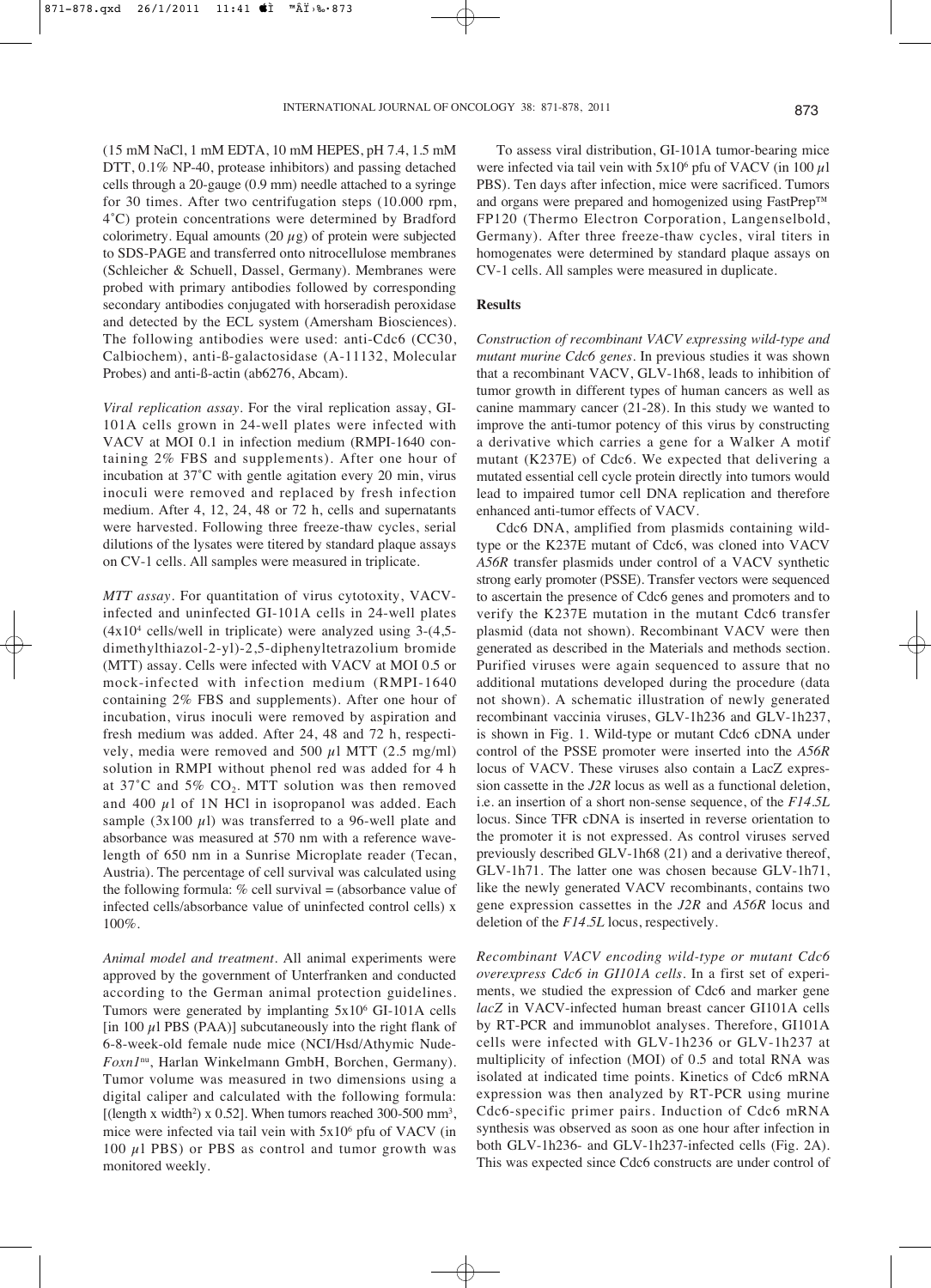(15 mM NaCl, 1 mM EDTA, 10 mM HEPES, pH 7.4, 1.5 mM DTT, 0.1% NP-40, protease inhibitors) and passing detached cells through a 20-gauge (0.9 mm) needle attached to a syringe for 30 times. After two centrifugation steps (10.000 rpm, 4˚C) protein concentrations were determined by Bradford colorimetry. Equal amounts  $(20 \mu g)$  of protein were subjected to SDS-PAGE and transferred onto nitrocellulose membranes (Schleicher & Schuell, Dassel, Germany). Membranes were probed with primary antibodies followed by corresponding secondary antibodies conjugated with horseradish peroxidase and detected by the ECL system (Amersham Biosciences). The following antibodies were used: anti-Cdc6 (CC30, Calbiochem), anti-ß-galactosidase (A-11132, Molecular Probes) and anti-ß-actin (ab6276, Abcam).

*Viral replication assay.* For the viral replication assay, GI-101A cells grown in 24-well plates were infected with VACV at MOI 0.1 in infection medium (RMPI-1640 containing 2% FBS and supplements). After one hour of incubation at 37˚C with gentle agitation every 20 min, virus inoculi were removed and replaced by fresh infection medium. After 4, 12, 24, 48 or 72 h, cells and supernatants were harvested. Following three freeze-thaw cycles, serial dilutions of the lysates were titered by standard plaque assays on CV-1 cells. All samples were measured in triplicate.

*MTT assay.* For quantitation of virus cytotoxity, VACVinfected and uninfected GI-101A cells in 24-well plates  $(4x10<sup>4</sup>$  cells/well in triplicate) were analyzed using 3- $(4,5$ dimethylthiazol-2-yl)-2,5-diphenyltetrazolium bromide (MTT) assay. Cells were infected with VACV at MOI 0.5 or mock-infected with infection medium (RMPI-1640 containing 2% FBS and supplements). After one hour of incubation, virus inoculi were removed by aspiration and fresh medium was added. After 24, 48 and 72 h, respectively, media were removed and 500  $\mu$ l MTT (2.5 mg/ml) solution in RMPI without phenol red was added for 4 h at  $37^{\circ}$ C and  $5\%$  CO<sub>2</sub>. MTT solution was then removed and 400  $\mu$ l of 1N HCl in isopropanol was added. Each sample (3x100  $\mu$ 1) was transferred to a 96-well plate and absorbance was measured at 570 nm with a reference wavelength of 650 nm in a Sunrise Microplate reader (Tecan, Austria). The percentage of cell survival was calculated using the following formula: % cell survival = (absorbance value of infected cells/absorbance value of uninfected control cells) x 100%.

*Animal model and treatment.* All animal experiments were approved by the government of Unterfranken and conducted according to the German animal protection guidelines. Tumors were generated by implanting 5x106 GI-101A cells [in 100  $\mu$ ] PBS (PAA)] subcutaneously into the right flank of 6-8-week-old female nude mice (NCI/Hsd/Athymic Nude-*Foxn1*nu, Harlan Winkelmann GmbH, Borchen, Germany). Tumor volume was measured in two dimensions using a digital caliper and calculated with the following formula: [(length x width<sup>2</sup>) x 0.52]. When tumors reached 300-500 mm<sup>3</sup>, mice were infected via tail vein with 5x106 pfu of VACV (in 100  $\mu$ 1 PBS) or PBS as control and tumor growth was monitored weekly.

To assess viral distribution, GI-101A tumor-bearing mice were infected via tail vein with  $5x10^6$  pfu of VACV (in 100  $\mu$ l PBS). Ten days after infection, mice were sacrificed. Tumors and organs were prepared and homogenized using FastPrep™ FP120 (Thermo Electron Corporation, Langenselbold, Germany). After three freeze-thaw cycles, viral titers in homogenates were determined by standard plaque assays on CV-1 cells. All samples were measured in duplicate.

### **Results**

*Construction of recombinant VACV expressing wild-type and mutant murine Cdc6 genes.* In previous studies it was shown that a recombinant VACV, GLV-1h68, leads to inhibition of tumor growth in different types of human cancers as well as canine mammary cancer (21-28). In this study we wanted to improve the anti-tumor potency of this virus by constructing a derivative which carries a gene for a Walker A motif mutant (K237E) of Cdc6. We expected that delivering a mutated essential cell cycle protein directly into tumors would lead to impaired tumor cell DNA replication and therefore enhanced anti-tumor effects of VACV.

Cdc6 DNA, amplified from plasmids containing wildtype or the K237E mutant of Cdc6, was cloned into VACV *A56R* transfer plasmids under control of a VACV synthetic strong early promoter (PSSE). Transfer vectors were sequenced to ascertain the presence of Cdc6 genes and promoters and to verify the K237E mutation in the mutant Cdc6 transfer plasmid (data not shown). Recombinant VACV were then generated as described in the Materials and methods section. Purified viruses were again sequenced to assure that no additional mutations developed during the procedure (data not shown). A schematic illustration of newly generated recombinant vaccinia viruses, GLV-1h236 and GLV-1h237, is shown in Fig. 1. Wild-type or mutant Cdc6 cDNA under control of the PSSE promoter were inserted into the *A56R* locus of VACV. These viruses also contain a LacZ expression cassette in the *J2R* locus as well as a functional deletion, i.e. an insertion of a short non-sense sequence, of the *F14.5L* locus. Since TFR cDNA is inserted in reverse orientation to the promoter it is not expressed. As control viruses served previously described GLV-1h68 (21) and a derivative thereof, GLV-1h71. The latter one was chosen because GLV-1h71, like the newly generated VACV recombinants, contains two gene expression cassettes in the *J2R* and *A56R* locus and deletion of the *F14.5L* locus, respectively.

*Recombinant VACV encoding wild-type or mutant Cdc6 overexpress Cdc6 in GI101A cells.* In a first set of experiments, we studied the expression of Cdc6 and marker gene *lacZ* in VACV-infected human breast cancer GI101A cells by RT-PCR and immunoblot analyses. Therefore, GI101A cells were infected with GLV-1h236 or GLV-1h237 at multiplicity of infection (MOI) of 0.5 and total RNA was isolated at indicated time points. Kinetics of Cdc6 mRNA expression was then analyzed by RT-PCR using murine Cdc6-specific primer pairs. Induction of Cdc6 mRNA synthesis was observed as soon as one hour after infection in both GLV-1h236- and GLV-1h237-infected cells (Fig. 2A). This was expected since Cdc6 constructs are under control of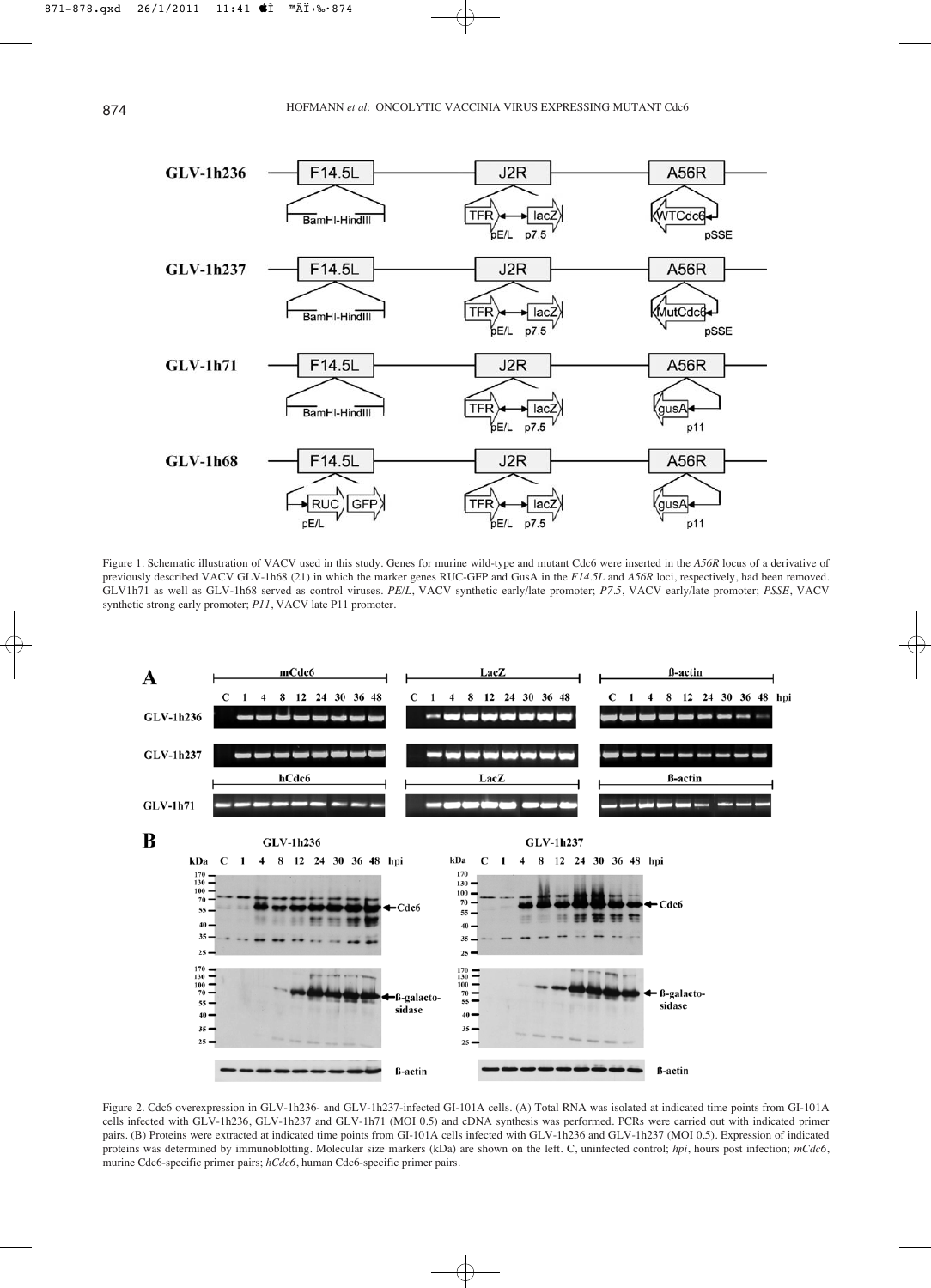

Figure 1. Schematic illustration of VACV used in this study. Genes for murine wild-type and mutant Cdc6 were inserted in the *A56R* locus of a derivative of previously described VACV GLV-1h68 (21) in which the marker genes RUC-GFP and GusA in the *F14.5L* and *A56R* loci, respectively, had been removed. GLV1h71 as well as GLV-1h68 served as control viruses. *PE/L*, VACV synthetic early/late promoter; *P7.5*, VACV early/late promoter; *PSSE*, VACV synthetic strong early promoter; *P11*, VACV late P11 promoter.



Figure 2. Cdc6 overexpression in GLV-1h236- and GLV-1h237-infected GI-101A cells. (A) Total RNA was isolated at indicated time points from GI-101A cells infected with GLV-1h236, GLV-1h237 and GLV-1h71 (MOI 0.5) and cDNA synthesis was performed. PCRs were carried out with indicated primer pairs. (B) Proteins were extracted at indicated time points from GI-101A cells infected with GLV-1h236 and GLV-1h237 (MOI 0.5). Expression of indicated proteins was determined by immunoblotting. Molecular size markers (kDa) are shown on the left. C, uninfected control; *hpi*, hours post infection; *mCdc6*, murine Cdc6-specific primer pairs; *hCdc6*, human Cdc6-specific primer pairs.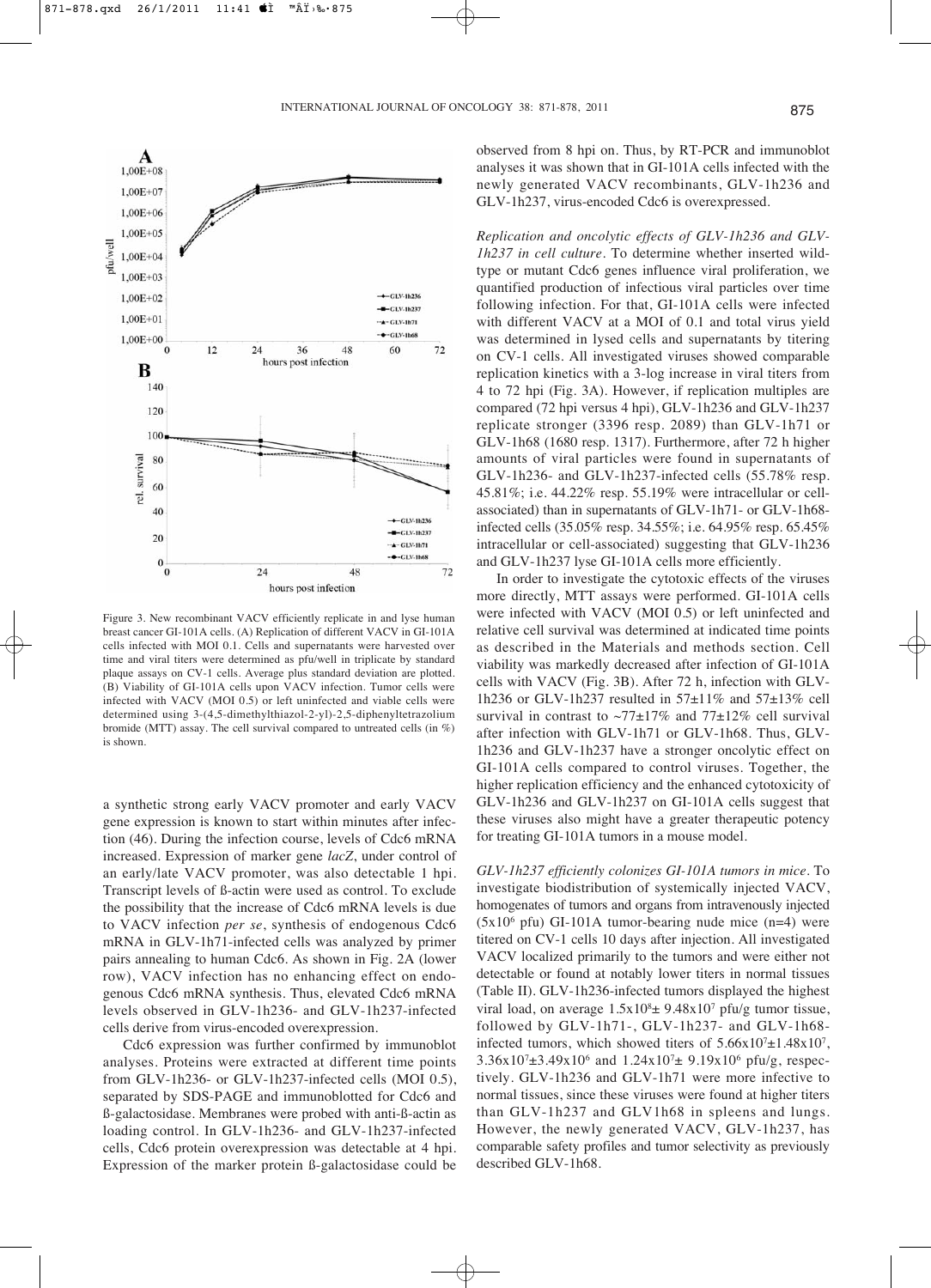

Figure 3. New recombinant VACV efficiently replicate in and lyse human breast cancer GI-101A cells. (A) Replication of different VACV in GI-101A cells infected with MOI 0.1. Cells and supernatants were harvested over time and viral titers were determined as pfu/well in triplicate by standard plaque assays on CV-1 cells. Average plus standard deviation are plotted. (B) Viability of GI-101A cells upon VACV infection. Tumor cells were infected with VACV (MOI 0.5) or left uninfected and viable cells were determined using 3-(4,5-dimethylthiazol-2-yl)-2,5-diphenyltetrazolium bromide (MTT) assay. The cell survival compared to untreated cells (in %) is shown.

a synthetic strong early VACV promoter and early VACV gene expression is known to start within minutes after infection (46). During the infection course, levels of Cdc6 mRNA increased. Expression of marker gene *lacZ*, under control of an early/late VACV promoter, was also detectable 1 hpi. Transcript levels of ß-actin were used as control. To exclude the possibility that the increase of Cdc6 mRNA levels is due to VACV infection *per se*, synthesis of endogenous Cdc6 mRNA in GLV-1h71-infected cells was analyzed by primer pairs annealing to human Cdc6. As shown in Fig. 2A (lower row), VACV infection has no enhancing effect on endogenous Cdc6 mRNA synthesis. Thus, elevated Cdc6 mRNA levels observed in GLV-1h236- and GLV-1h237-infected cells derive from virus-encoded overexpression.

Cdc6 expression was further confirmed by immunoblot analyses. Proteins were extracted at different time points from GLV-1h236- or GLV-1h237-infected cells (MOI 0.5), separated by SDS-PAGE and immunoblotted for Cdc6 and ß-galactosidase. Membranes were probed with anti-ß-actin as loading control. In GLV-1h236- and GLV-1h237-infected cells, Cdc6 protein overexpression was detectable at 4 hpi. Expression of the marker protein ß-galactosidase could be

observed from 8 hpi on. Thus, by RT-PCR and immunoblot analyses it was shown that in GI-101A cells infected with the newly generated VACV recombinants, GLV-1h236 and GLV-1h237, virus-encoded Cdc6 is overexpressed.

*Replication and oncolytic effects of GLV-1h236 and GLV-1h237 in cell culture.* To determine whether inserted wildtype or mutant Cdc6 genes influence viral proliferation, we quantified production of infectious viral particles over time following infection. For that, GI-101A cells were infected with different VACV at a MOI of 0.1 and total virus yield was determined in lysed cells and supernatants by titering on CV-1 cells. All investigated viruses showed comparable replication kinetics with a 3-log increase in viral titers from 4 to 72 hpi (Fig. 3A). However, if replication multiples are compared (72 hpi versus 4 hpi), GLV-1h236 and GLV-1h237 replicate stronger (3396 resp. 2089) than GLV-1h71 or GLV-1h68 (1680 resp. 1317). Furthermore, after 72 h higher amounts of viral particles were found in supernatants of GLV-1h236- and GLV-1h237-infected cells (55.78% resp. 45.81%; i.e. 44.22% resp. 55.19% were intracellular or cellassociated) than in supernatants of GLV-1h71- or GLV-1h68 infected cells (35.05% resp. 34.55%; i.e. 64.95% resp. 65.45% intracellular or cell-associated) suggesting that GLV-1h236 and GLV-1h237 lyse GI-101A cells more efficiently.

In order to investigate the cytotoxic effects of the viruses more directly, MTT assays were performed. GI-101A cells were infected with VACV (MOI 0.5) or left uninfected and relative cell survival was determined at indicated time points as described in the Materials and methods section. Cell viability was markedly decreased after infection of GI-101A cells with VACV (Fig. 3B). After 72 h, infection with GLV-1h236 or GLV-1h237 resulted in  $57\pm11\%$  and  $57\pm13\%$  cell survival in contrast to  $\sim$ 77 $\pm$ 17% and 77 $\pm$ 12% cell survival after infection with GLV-1h71 or GLV-1h68. Thus, GLV-1h236 and GLV-1h237 have a stronger oncolytic effect on GI-101A cells compared to control viruses. Together, the higher replication efficiency and the enhanced cytotoxicity of GLV-1h236 and GLV-1h237 on GI-101A cells suggest that these viruses also might have a greater therapeutic potency for treating GI-101A tumors in a mouse model.

*GLV-1h237 efficiently colonizes GI-101A tumors in mice*. To investigate biodistribution of systemically injected VACV, homogenates of tumors and organs from intravenously injected  $(5x10<sup>6</sup>$  pfu) GI-101A tumor-bearing nude mice  $(n=4)$  were titered on CV-1 cells 10 days after injection. All investigated VACV localized primarily to the tumors and were either not detectable or found at notably lower titers in normal tissues (Table II). GLV-1h236-infected tumors displayed the highest viral load, on average  $1.5x10<sup>8</sup> \pm 9.48x10<sup>7</sup>$  pfu/g tumor tissue, followed by GLV-1h71-, GLV-1h237- and GLV-1h68 infected tumors, which showed titers of  $5.66x10^{7} \pm 1.48x10^{7}$ ,  $3.36x10^{7} \pm 3.49x10^{6}$  and  $1.24x10^{7} \pm 9.19x10^{6}$  pfu/g, respectively. GLV-1h236 and GLV-1h71 were more infective to normal tissues, since these viruses were found at higher titers than GLV-1h237 and GLV1h68 in spleens and lungs. However, the newly generated VACV, GLV-1h237, has comparable safety profiles and tumor selectivity as previously described GLV-1h68.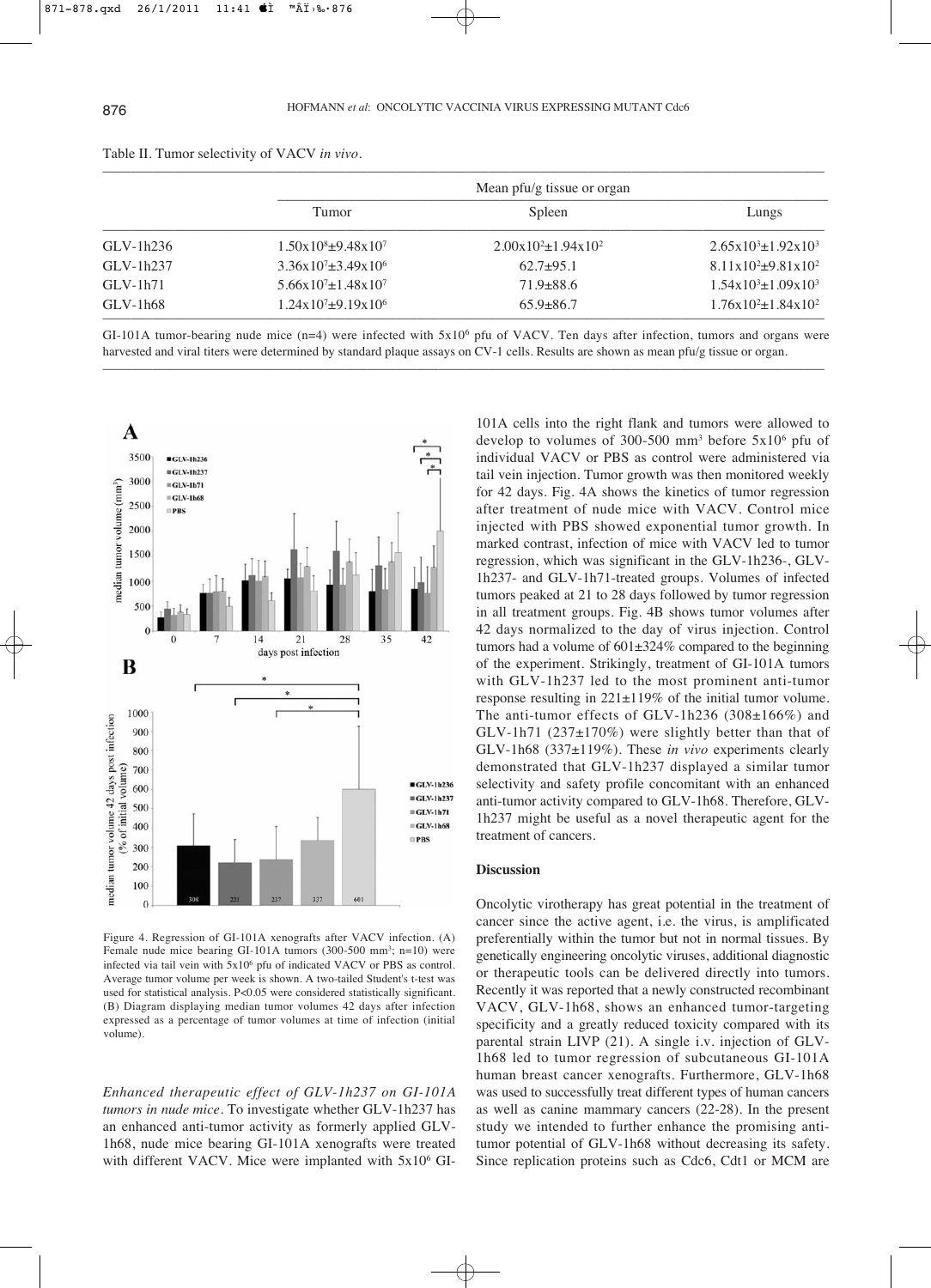|             |                                         | Mean pfu/g tissue or organ    |                                             |
|-------------|-----------------------------------------|-------------------------------|---------------------------------------------|
|             | Tumor                                   | Spleen                        | Lungs                                       |
| $GLV-1h236$ | $1.50 \times 10^8 \pm 9.48 \times 10^7$ | $2.00x10^{2} \pm 1.94x10^{2}$ | $2.65x10^{3} \pm 1.92x10^{3}$               |
| $GLV-1h237$ | $3.36x10^{7} \pm 3.49x10^{6}$           | $62.7+95.1$                   | $8.11x10^2+9.81x10^2$                       |
| $GLV-1h71$  | $5.66x10^{7} \pm 1.48x10^{7}$           | $71.9 \pm 88.6$               | $1.54 \times 10^{3} \pm 1.09 \times 10^{3}$ |
| $GLV-1h68$  | $1.24x10^{7} \pm 9.19x10^{6}$           | $65.9 \pm 86.7$               | $1.76x10^{2} \pm 1.84x10^{2}$               |

Table II. Tumor selectivity of VACV *in vivo*.

GI-101A tumor-bearing nude mice (n=4) were infected with  $5x10^6$  pfu of VACV. Ten days after infection, tumors and organs were harvested and viral titers were determined by standard plaque assays on CV-1 cells. Results are shown as mean pfu/g tissue or organ. –––––––––––––––––––––––––––––––––––––––––––––––––––––––––––––––––––––––––––––––––––––––––––––––––––––



Figure 4. Regression of GI-101A xenografts after VACV infection. (A) Female nude mice bearing GI-101A tumors (300-500 mm<sup>3</sup>; n=10) were infected via tail vein with 5x106 pfu of indicated VACV or PBS as control. Average tumor volume per week is shown. A two-tailed Student's t-test was used for statistical analysis. P<0.05 were considered statistically significant. (B) Diagram displaying median tumor volumes 42 days after infection expressed as a percentage of tumor volumes at time of infection (initial volume).

*Enhanced therapeutic effect of GLV-1h237 on GI-101A tumors in nude mice.* To investigate whether GLV-1h237 has an enhanced anti-tumor activity as formerly applied GLV-1h68, nude mice bearing GI-101A xenografts were treated with different VACV. Mice were implanted with 5x10<sup>6</sup> GI-

101A cells into the right flank and tumors were allowed to develop to volumes of 300-500 mm<sup>3</sup> before  $5x10^6$  pfu of individual VACV or PBS as control were administered via tail vein injection. Tumor growth was then monitored weekly for 42 days. Fig. 4A shows the kinetics of tumor regression after treatment of nude mice with VACV. Control mice injected with PBS showed exponential tumor growth. In marked contrast, infection of mice with VACV led to tumor regression, which was significant in the GLV-1h236-, GLV-1h237- and GLV-1h71-treated groups. Volumes of infected tumors peaked at 21 to 28 days followed by tumor regression in all treatment groups. Fig. 4B shows tumor volumes after 42 days normalized to the day of virus injection. Control tumors had a volume of  $601\pm324\%$  compared to the beginning of the experiment. Strikingly, treatment of GI-101A tumors with GLV-1h237 led to the most prominent anti-tumor response resulting in 221±119% of the initial tumor volume. The anti-tumor effects of GLV-1h236 (308±166%) and  $GLV-1h71$  (237 $\pm$ 170%) were slightly better than that of GLV-1h68 (337±119%). These *in vivo* experiments clearly demonstrated that GLV-1h237 displayed a similar tumor selectivity and safety profile concomitant with an enhanced anti-tumor activity compared to GLV-1h68. Therefore, GLV-1h237 might be useful as a novel therapeutic agent for the treatment of cancers.

## **Discussion**

Oncolytic virotherapy has great potential in the treatment of cancer since the active agent, i.e. the virus, is amplificated preferentially within the tumor but not in normal tissues. By genetically engineering oncolytic viruses, additional diagnostic or therapeutic tools can be delivered directly into tumors. Recently it was reported that a newly constructed recombinant VACV, GLV-1h68, shows an enhanced tumor-targeting specificity and a greatly reduced toxicity compared with its parental strain LIVP (21). A single i.v. injection of GLV-1h68 led to tumor regression of subcutaneous GI-101A human breast cancer xenografts. Furthermore, GLV-1h68 was used to successfully treat different types of human cancers as well as canine mammary cancers (22-28). In the present study we intended to further enhance the promising antitumor potential of GLV-1h68 without decreasing its safety. Since replication proteins such as Cdc6, Cdt1 or MCM are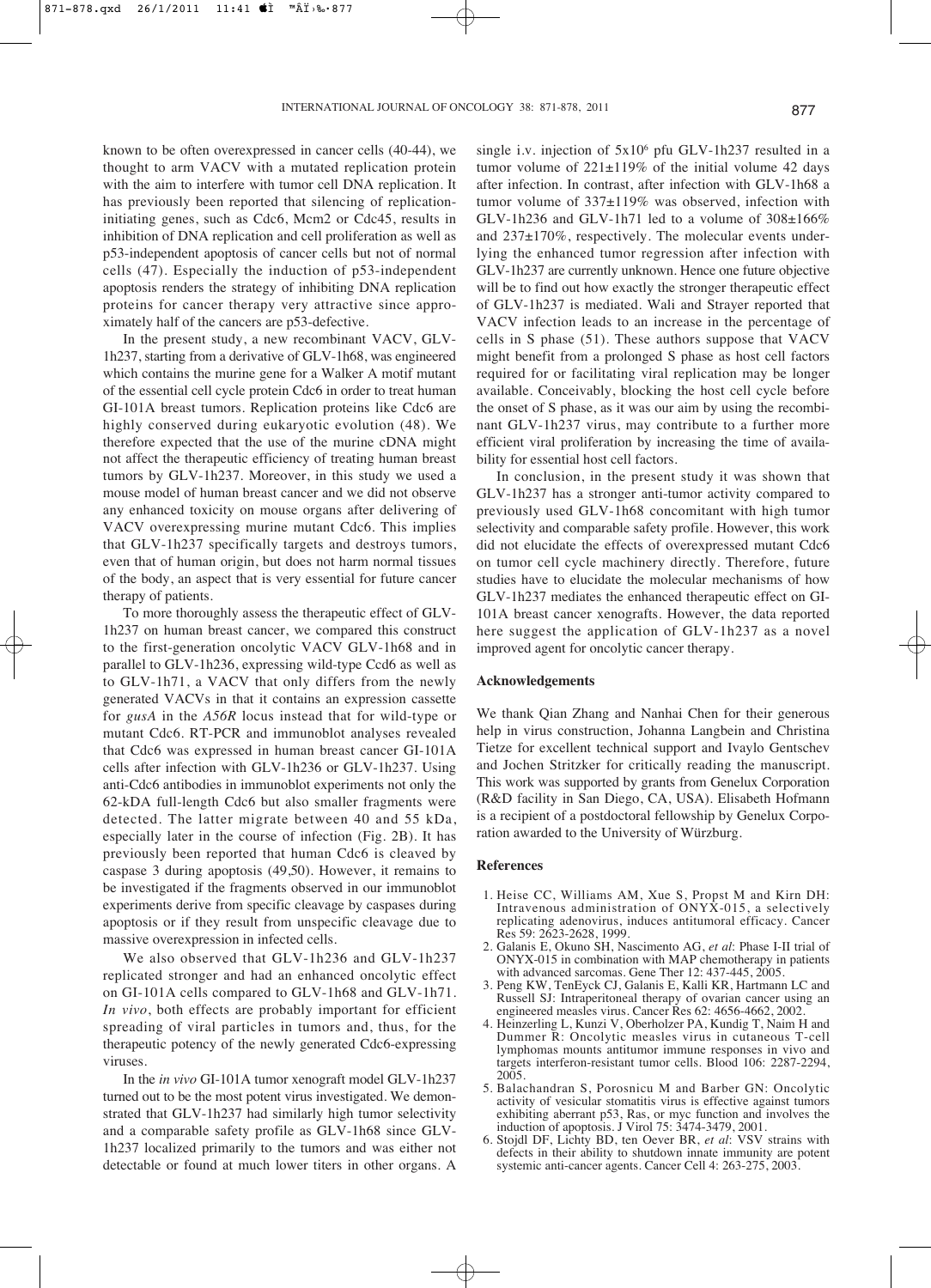known to be often overexpressed in cancer cells (40-44), we thought to arm VACV with a mutated replication protein with the aim to interfere with tumor cell DNA replication. It has previously been reported that silencing of replicationinitiating genes, such as Cdc6, Mcm2 or Cdc45, results in inhibition of DNA replication and cell proliferation as well as p53-independent apoptosis of cancer cells but not of normal cells (47). Especially the induction of p53-independent apoptosis renders the strategy of inhibiting DNA replication proteins for cancer therapy very attractive since approximately half of the cancers are p53-defective.

In the present study, a new recombinant VACV, GLV-1h237, starting from a derivative of GLV-1h68, was engineered which contains the murine gene for a Walker A motif mutant of the essential cell cycle protein Cdc6 in order to treat human GI-101A breast tumors. Replication proteins like Cdc6 are highly conserved during eukaryotic evolution (48). We therefore expected that the use of the murine cDNA might not affect the therapeutic efficiency of treating human breast tumors by GLV-1h237. Moreover, in this study we used a mouse model of human breast cancer and we did not observe any enhanced toxicity on mouse organs after delivering of VACV overexpressing murine mutant Cdc6. This implies that GLV-1h237 specifically targets and destroys tumors, even that of human origin, but does not harm normal tissues of the body, an aspect that is very essential for future cancer therapy of patients.

To more thoroughly assess the therapeutic effect of GLV-1h237 on human breast cancer, we compared this construct to the first-generation oncolytic VACV GLV-1h68 and in parallel to GLV-1h236, expressing wild-type Ccd6 as well as to GLV-1h71, a VACV that only differs from the newly generated VACVs in that it contains an expression cassette for *gusA* in the *A56R* locus instead that for wild-type or mutant Cdc6. RT-PCR and immunoblot analyses revealed that Cdc6 was expressed in human breast cancer GI-101A cells after infection with GLV-1h236 or GLV-1h237. Using anti-Cdc6 antibodies in immunoblot experiments not only the 62-kDA full-length Cdc6 but also smaller fragments were detected. The latter migrate between 40 and 55 kDa, especially later in the course of infection (Fig. 2B). It has previously been reported that human Cdc6 is cleaved by caspase 3 during apoptosis (49,50). However, it remains to be investigated if the fragments observed in our immunoblot experiments derive from specific cleavage by caspases during apoptosis or if they result from unspecific cleavage due to massive overexpression in infected cells.

We also observed that GLV-1h236 and GLV-1h237 replicated stronger and had an enhanced oncolytic effect on GI-101A cells compared to GLV-1h68 and GLV-1h71. *In vivo*, both effects are probably important for efficient spreading of viral particles in tumors and, thus, for the therapeutic potency of the newly generated Cdc6-expressing viruses.

In the *in vivo* GI-101A tumor xenograft model GLV-1h237 turned out to be the most potent virus investigated. We demonstrated that GLV-1h237 had similarly high tumor selectivity and a comparable safety profile as GLV-1h68 since GLV-1h237 localized primarily to the tumors and was either not detectable or found at much lower titers in other organs. A single i.v. injection of  $5x10^6$  pfu GLV-1h237 resulted in a tumor volume of  $221 \pm 119\%$  of the initial volume 42 days after infection. In contrast, after infection with GLV-1h68 a tumor volume of 337±119% was observed, infection with GLV-1h236 and GLV-1h71 led to a volume of 308±166% and 237±170%, respectively. The molecular events underlying the enhanced tumor regression after infection with GLV-1h237 are currently unknown. Hence one future objective will be to find out how exactly the stronger therapeutic effect of GLV-1h237 is mediated. Wali and Strayer reported that VACV infection leads to an increase in the percentage of cells in S phase (51). These authors suppose that VACV might benefit from a prolonged S phase as host cell factors required for or facilitating viral replication may be longer available. Conceivably, blocking the host cell cycle before the onset of S phase, as it was our aim by using the recombinant GLV-1h237 virus, may contribute to a further more efficient viral proliferation by increasing the time of availability for essential host cell factors.

In conclusion, in the present study it was shown that GLV-1h237 has a stronger anti-tumor activity compared to previously used GLV-1h68 concomitant with high tumor selectivity and comparable safety profile. However, this work did not elucidate the effects of overexpressed mutant Cdc6 on tumor cell cycle machinery directly. Therefore, future studies have to elucidate the molecular mechanisms of how GLV-1h237 mediates the enhanced therapeutic effect on GI-101A breast cancer xenografts. However, the data reported here suggest the application of GLV-1h237 as a novel improved agent for oncolytic cancer therapy.

#### **Acknowledgements**

We thank Qian Zhang and Nanhai Chen for their generous help in virus construction, Johanna Langbein and Christina Tietze for excellent technical support and Ivaylo Gentschev and Jochen Stritzker for critically reading the manuscript. This work was supported by grants from Genelux Corporation (R&D facility in San Diego, CA, USA). Elisabeth Hofmann is a recipient of a postdoctoral fellowship by Genelux Corporation awarded to the University of Würzburg.

#### **References**

- 1. Heise CC, Williams AM, Xue S, Propst M and Kirn DH: Intravenous administration of  $\overline{ONYX}$ -015, a selectively replicating adenovirus, induces antitumoral efficacy. Cancer Res 59: 2623-2628, 1999.
- 2. Galanis E, Okuno SH, Nascimento AG, *et al*: Phase I-II trial of ONYX-015 in combination with MAP chemotherapy in patients with advanced sarcomas. Gene Ther 12: 437-445, 2005.
- 3. Peng KW, TenEyck CJ, Galanis E, Kalli KR, Hartmann LC and Russell SJ: Intraperitoneal therapy of ovarian cancer using an engineered measles virus. Cancer Res 62: 4656-4662, 2002.
- 4. Heinzerling L, Kunzi V, Oberholzer PA, Kundig T, Naim H and Dummer R: Oncolytic measles virus in cutaneous T-cell lymphomas mounts antitumor immune responses in vivo and targets interferon-resistant tumor cells. Blood 106: 2287-2294, 2005.
- 5. Balachandran S, Porosnicu M and Barber GN: Oncolytic activity of vesicular stomatitis virus is effective against tumors exhibiting aberrant p53, Ras, or myc function and involves the induction of apoptosis. J Virol 75: 3474-3479, 2001.
- 6. Stojdl DF, Lichty BD, ten Oever BR, *et al*: VSV strains with defects in their ability to shutdown innate immunity are potent systemic anti-cancer agents. Cancer Cell 4: 263-275, 2003.